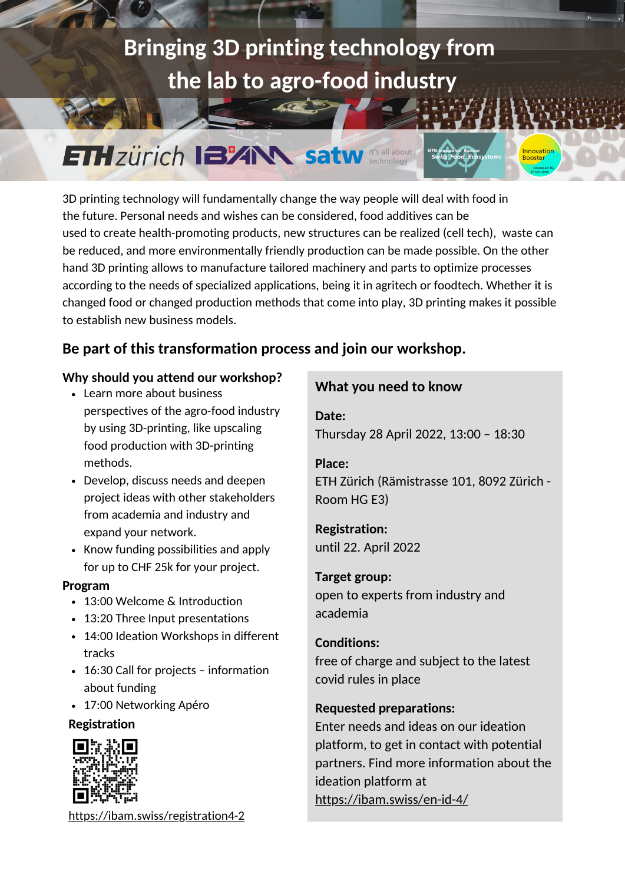# **Bringing 3D printing technology fro[m](https://actu.epfl.ch/news/transferring-technology-from-the-lab-to-industry/) the lab to agro-food industry**

# **ETH ZÜrich 132AN satw** it's all about

3D printing technology will fundamentally change the way people will deal with food in the future. Personal needs and wishes can be considered, food additives can be used to create health-promoting products, new structures can be realized (cell tech), waste can be reduced, and more environmentally friendly production can be made possible. On the other hand 3D printing allows to manufacture tailored machinery and parts to optimize processes according to the needs of specialized applications, being it in agritech or foodtech. Whether it is changed food or changed production methods that come into play, 3D printing makes it possible to establish new business models.

## **Be part of this transformation process and join our workshop.**

#### **Why should you attend our workshop?**

- perspectives of the agro-food industry by using 3D-printing, like upscaling food production with 3D-printing methods.
- Develop, discuss needs and deepen project ideas with other stakeholders from academia and industry and expand your network.
- Know funding possibilities and apply for up to CHF 25k for your project.

#### **Program**

- 13:00 Welcome & Introduction
- 13:20 Three Input presentations
- 14:00 Ideation Workshops in different tracks
- 16:30 Call for projects information about funding
- 17:00 Networking Apéro

#### **Registration**



<https://ibam.swiss/registration4-2>

# **What you need to know** Learn more about business

**Date:** Thursday 28 April 2022, 13:00 – 18:30

#### **Place:**

ETH Zürich (Rämistrasse 101, 8092 Zürich - Room HG E3)

Innovation<br>Booster

## **Registration:**

until 22. April 2022

#### **Target group:**

open to experts from industry and academia

### **Conditions:**

free of charge and subject to the latest covid rules in place

## **Requested preparations:**

Enter needs and ideas on our ideation [platform,](https://innobooster.org/servlet/hype/IMT?documentTableId=6557338904677981284&userAction=Browse&templateName=&documentId=7af2703510d42adb5b08f0ac13024d23) to get in contact with potential partners. Find more information about the ideation platform at <https://ibam.swiss/en-id-4/>